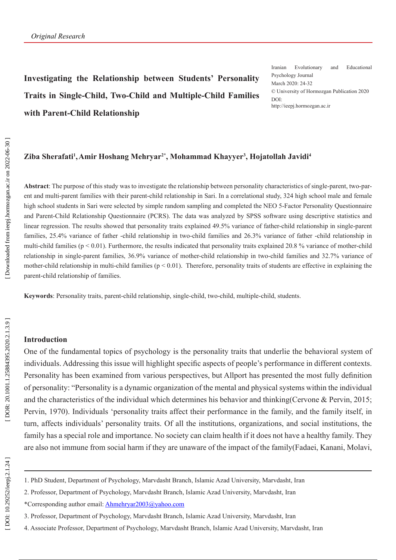# **Investigating the Relationship between Students' Personality Traits in Single-Child, Two-Child and Multiple-Child Families with Parent-Child Relationship**

Iranian Evolutionary and Educational Psychology Journal March 2020: 24-32 © University of Hormozgan Publication 2020 DOI: http://ieepj.hormozgan.ac.ir

### Ziba Sherafati<sup>1</sup>,Amir Hoshang Mehryar<sup>2\*</sup>, Mohammad Khayyer<sup>3</sup>, Hojatollah Javidi<sup>4</sup>

**Abstract**: The purpose of this study was to investigate the relationship between personality characteristics of single-parent, two-par ent and multi-parent families with their parent-child relationship in Sari. In a correlational study, 324 high school male and female high school students in Sari were selected by simple random sampling and completed the NEO 5-Factor Personality Questionnaire and Parent-Child Relationship Questionnaire (PCRS). The data was analyzed by SPSS software using descriptive statistics and linear regression. The results showed that personality traits explained 49.5% variance of father-child relationship in single-parent families, 25.4% variance of father -child relationship in two-child families and 26.3% variance of father -child relationship in multi-child families ( $p \le 0.01$ ). Furthermore, the results indicated that personality traits explained 20.8 % variance of mother-child relationship in single-parent families, 36.9% variance of mother-child relationship in two-child families and 32.7% variance of mother-child relationship in multi-child families ( $p < 0.01$ ). Therefore, personality traits of students are effective in explaining the parent-child relationship of families.

**Keywords**: Personality traits, parent-child relationship, single-child, two-child, multiple-child, students.

## **Introduction**

One of the fundamental topics of psychology is the personality traits that underlie the behavioral system of individuals. Addressing this issue will highlight specific aspects of people's performance in different contexts. Personality has been examined from various perspectives, but Allport has presented the most fully definition of personality: "Personality is a dynamic organization of the mental and physical systems within the individual and the characteristics of the individual which determines his behavior and thinking(Cervone & Pervin, 2015; Pervin, 1970). Individuals 'personality traits affect their performance in the family, and the family itself, in turn, affects individuals' personality traits. Of all the institutions, organizations, and social institutions, the family has a special role and importance. No society can claim health if it does not have a healthy family. They are also not immune from social harm if they are unaware of the impact of the family(Fadaei, Kanani, Molavi,

\*Corresponding author email: Ahmehryar2003@yahoo.com

<sup>1.</sup> PhD Student, Department of Psychology, Marvdasht Branch, Islamic Azad University, Marvdasht, Iran

<sup>2.</sup> Professor, Department of Psychology, Marvdasht Branch, Islamic Azad University, Marvdasht, Iran

<sup>3.</sup> Professor, Department of Psychology, Marvdasht Branch, Islamic Azad University, Marvdasht, Iran

<sup>4.</sup> Associate Professor, Department of Psychology, Marvdasht Branch, Islamic Azad University, Marvdasht, Iran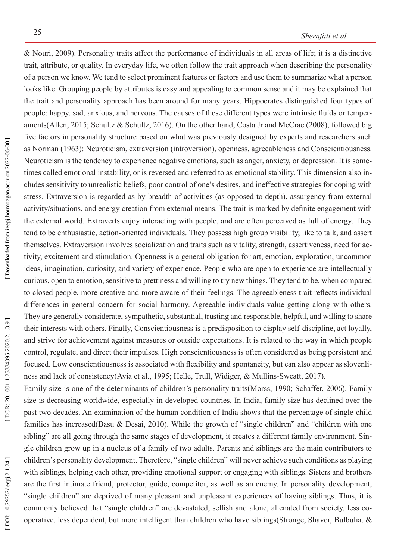& Nouri, 2009). Personality traits affect the performance of individuals in all areas of life; it is a distinctive trait, attribute, or quality. In everyday life, we often follow the trait approach when describing the personality of a person we know. We tend to select prominent features or factors and use them to summarize what a person looks like. Grouping people by attributes is easy and appealing to common sense and it may be explained that the trait and personality approach has been around for many years. Hippocrates distinguished four types of people: happy, sad, anxious, and nervous. The causes of these different types were intrinsic fluids or temper aments(Allen, 2015; Schultz & Schultz, 2016). On the other hand, Costa Jr and McCrae (2008), followed big five factors in personality structure based on what was previously designed by experts and researchers such as Norman (1963): Neuroticism, extraversion (introversion), openness, agreeableness and Conscientiousness. Neuroticism is the tendency to experience negative emotions, such as anger, anxiety, or depression. It is some times called emotional instability, or is reversed and referred to as emotional stability. This dimension also in cludes sensitivity to unrealistic beliefs, poor control of one's desires, and ineffective strategies for coping with stress. Extraversion is regarded as by breadth of activities (as opposed to depth), assurgency from external activity/situations, and energy creation from external means. The trait is marked by definite engagement with the external world. Extraverts enjoy interacting with people, and are often perceived as full of energy. They tend to be enthusiastic, action-oriented individuals. They possess high group visibility, like to talk, and assert themselves. Extraversion involves socialization and traits such as vitality, strength, assertiveness, need for ac tivity, excitement and stimulation. Openness is a general obligation for art, emotion, exploration, uncommon ideas, imagination, curiosity, and variety of experience. People who are open to experience are intellectually curious, open to emotion, sensitive to prettiness and willing to try new things. They tend to be, when compared to closed people, more creative and more aware of their feelings. The agreeableness trait reflects individual differences in general concern for social harmony. Agreeable individuals value getting along with others. They are generally considerate, sympathetic, substantial, trusting and responsible, helpful, and willing to share their interests with others. Finally, Conscientiousness is a predisposition to display self-discipline, act loyally, and strive for achievement against measures or outside expectations. It is related to the way in which people control, regulate, and direct their impulses. High conscientiousness is often considered as being persistent and focused. Low conscientiousness is associated with flexibility and spontaneity, but can also appear as slovenli ness and lack of consistency(Avia et al., 1995; Helle, Trull, Widiger, & Mullins-Sweatt, 2017).

Family size is one of the determinants of children's personality traits(Morss, 1990; Schaffer, 2006). Family size is decreasing worldwide, especially in developed countries. In India, family size has declined over the past two decades. An examination of the human condition of India shows that the percentage of single-child families has increased(Basu & Desai, 2010). While the growth of "single children" and "children with one sibling" are all going through the same stages of development, it creates a different family environment. Single children grow up in a nucleus of a family of two adults. Parents and siblings are the main contributors to children's personality development. Therefore, "single children" will never achieve such conditions as playing with siblings, helping each other, providing emotional support or engaging with siblings. Sisters and brothers are the first intimate friend, protector, guide, competitor, as well as an enemy. In personality development, "single children" are deprived of many pleasant and unpleasant experiences of having siblings. Thus, it is commonly believed that "single children" are devastated, selfish and alone, alienated from society, less co operative, less dependent, but more intelligent than children who have siblings(Stronge, Shaver, Bulbulia, &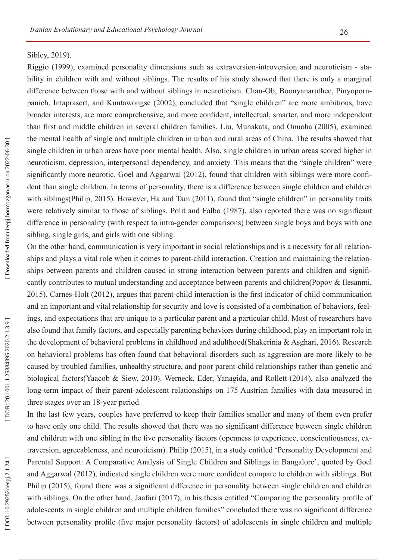## Sibley, 2019).

Riggio (1999), examined personality dimensions such as extraversion-introversion and neuroticism - sta bility in children with and without siblings. The results of his study showed that there is only a marginal difference between those with and without siblings in neuroticism. Chan-Ob, Boonyanaruthee, Pinyopornpanich, Intaprasert, and Kuntawongse (2002), concluded that "single children" are more ambitious, have broader interests, are more comprehensive, and more confident, intellectual, smarter, and more independent than first and middle children in several children families. Liu, Munakata, and Onuoha (2005), examined the mental health of single and multiple children in urban and rural areas of China. The results showed that single children in urban areas have poor mental health. Also, single children in urban areas scored higher in neuroticism, depression, interpersonal dependency, and anxiety. This means that the "single children" were significantly more neurotic. Goel and Aggarwal (2012), found that children with siblings were more confi dent than single children. In terms of personality, there is a difference between single children and children with siblings(Philip, 2015). However, Ha and Tam (2011), found that "single children" in personality traits were relatively similar to those of siblings. Polit and Falbo (1987), also reported there was no significant difference in personality (with respect to intra-gender comparisons) between single boys and boys with one sibling, single girls, and girls with one sibling.

On the other hand, communication is very important in social relationships and is a necessity for all relation ships and plays a vital role when it comes to parent-child interaction. Creation and maintaining the relation ships between parents and children caused in strong interaction between parents and children and signifi cantly contributes to mutual understanding and acceptance between parents and children(Popov & Ilesanmi, 2015). Carnes-Holt (2012), argues that parent-child interaction is the first indicator of child communication and an important and vital relationship for security and love is consisted of a combination of behaviors, feel ings, and expectations that are unique to a particular parent and a particular child. Most of researchers have also found that family factors, and especially parenting behaviors during childhood, play an important role in the development of behavioral problems in childhood and adulthood(Shakerinia & Asghari, 2016). Research on behavioral problems has often found that behavioral disorders such as aggression are more likely to be caused by troubled families, unhealthy structure, and poor parent-child relationships rather than genetic and biological factors(Yaacob & Siew, 2010). Werneck, Eder, Yanagida, and Rollett (2014), also analyzed the long-term impact of their parent-adolescent relationships on 175 Austrian families with data measured in three stages over an 18-year period.

In the last few years, couples have preferred to keep their families smaller and many of them even prefer to have only one child. The results showed that there was no significant difference between single children and children with one sibling in the five personality factors (openness to experience, conscientiousness, ex traversion, agreeableness, and neuroticism). Philip (2015), in a study entitled 'Personality Development and Parental Support: A Comparative Analysis of Single Children and Siblings in Bangalore', quoted by Goel and Aggarwal (2012), indicated single children were more confident compare to children with siblings. But Philip (2015), found there was a significant difference in personality between single children and children with siblings. On the other hand, Jaafari (2017), in his thesis entitled "Comparing the personality profile of adolescents in single children and multiple children families" concluded there was no significant difference between personality profile (five major personality factors) of adolescents in single children and multiple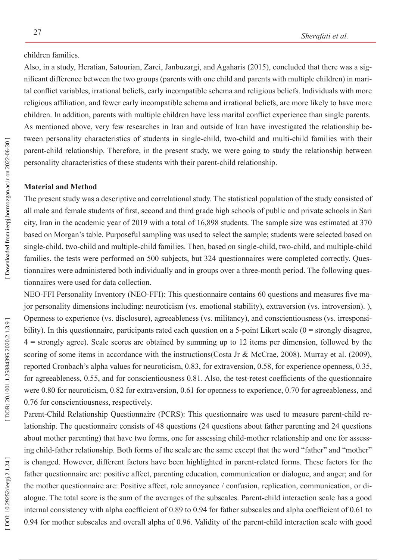## children families.

Also, in a study, Heratian, Satourian, Zarei, Janbuzargi, and Agaharis (2015), concluded that there was a sig nificant difference between the two groups (parents with one child and parents with multiple children) in mari tal conflict variables, irrational beliefs, early incompatible schema and religious beliefs. Individuals with more religious affiliation, and fewer early incompatible schema and irrational beliefs, are more likely to have more children. In addition, parents with multiple children have less marital conflict experience than single parents. As mentioned above, very few researches in Iran and outside of Iran have investigated the relationship be tween personality characteristics of students in single-child, two-child and multi-child families with their parent-child relationship. Therefore, in the present study, we were going to study the relationship between personality characteristics of these students with their parent-child relationship.

## **Material and Method**

The present study was a descriptive and correlational study. The statistical population of the study consisted of all male and female students of first, second and third grade high schools of public and private schools in Sari city, Iran in the academic year of 2019 with a total of 16,898 students. The sample size was estimated at 370 based on Morgan's table. Purposeful sampling was used to select the sample; students were selected based on single-child, two-child and multiple-child families. Then, based on single-child, two-child, and multiple-child families, the tests were performed on 500 subjects, but 324 questionnaires were completed correctly. Ques tionnaires were administered both individually and in groups over a three-month period. The following ques tionnaires were used for data collection.

NEO-FFI Personality Inventory (NEO-FFI): This questionnaire contains 60 questions and measures five ma jor personality dimensions including: neuroticism (vs. emotional stability), extraversion (vs. introversion). ), Openness to experience (vs. disclosure), agreeableness (vs. militancy), and conscientiousness (vs. irresponsi bility). In this questionnaire, participants rated each question on a 5-point Likert scale (0 = strongly disagree, 4 = strongly agree). Scale scores are obtained by summing up to 12 items per dimension, followed by the scoring of some items in accordance with the instructions(Costa Jr & McCrae, 2008). Murray et al. (2009), reported Cronbach's alpha values for neuroticism, 0.83, for extraversion, 0.58, for experience openness, 0.35, for agreeableness, 0.55, and for conscientiousness 0.81. Also, the test-retest coefficients of the questionnaire were 0.80 for neuroticism, 0.82 for extraversion, 0.61 for openness to experience, 0.70 for agreeableness, and 0.76 for conscientiousness, respectively.

Parent-Child Relationship Questionnaire (PCRS): This questionnaire was used to measure parent-child re lationship. The questionnaire consists of 48 questions (24 questions about father parenting and 24 questions about mother parenting) that have two forms, one for assessing child-mother relationship and one for assess ing child-father relationship. Both forms of the scale are the same except that the word "father" and "mother" is changed. However, different factors have been highlighted in parent-related forms. These factors for the father questionnaire are: positive affect, parenting education, communication or dialogue, and anger; and for the mother questionnaire are: Positive affect, role annoyance / confusion, replication, communication, or di alogue. The total score is the sum of the averages of the subscales. Parent-child interaction scale has a good internal consistency with alpha coefficient of 0.89 to 0.94 for father subscales and alpha coefficient of 0.61 to 0.94 for mother subscales and overall alpha of 0.96. Validity of the parent-child interaction scale with good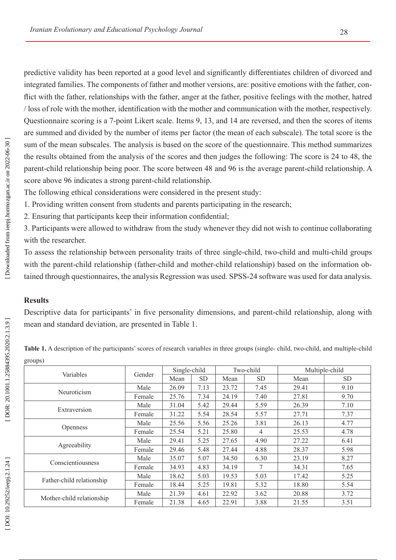predictive validity has been reported at a good level and significantly differentiates children of divorced and integrated families. The components of father and mother versions, are: positive emotions with the father, con flict with the father, relationships with the father, anger at the father, positive feelings with the mother, hatred / loss of role with the mother, identification with the mother and communication with the mother, respectively. Questionnaire scoring is a 7-point Likert scale. Items 9, 13, and 14 are reversed, and then the scores of items are summed and divided by the number of items per factor (the mean of each subscale). The total score is the sum of the mean subscales. The analysis is based on the score of the questionnaire. This method summarizes the results obtained from the analysis of the scores and then judges the following: The score is 24 to 48, the parent-child relationship being poor. The score between 48 and 96 is the average parent-child relationship. A score above 96 indicates a strong parent-child relationship.

The following ethical considerations were considered in the present study:

1. Providing written consent from students and parents participating in the research;

2. Ensuring that participants keep their information confidential;

3. Participants were allowed to withdraw from the study whenever they did not wish to continue collaborating with the researcher.

To assess the relationship between personality traits of three single-child, two-child and multi-child groups with the parent-child relationship (father-child and mother-child relationship) based on the information obtained through questionnaires, the analysis Regression was used. SPSS-24 software was used for data analysis.

# **Results**

Descriptive data for participants' in five personality dimensions, and parent-child relationship, along with mean and standard deviation, are presented in Table 1.

| Table 1. A description of the participants' scores of research variables in three groups (single-child, two-child, and multiple-child |  |  |
|---------------------------------------------------------------------------------------------------------------------------------------|--|--|
| groups)                                                                                                                               |  |  |

| Variables                 | Gender | Single-child |           | Two-child |           | Multiple-child |           |
|---------------------------|--------|--------------|-----------|-----------|-----------|----------------|-----------|
|                           |        | Mean         | <b>SD</b> | Mean      | <b>SD</b> | Mean           | <b>SD</b> |
| Neuroticism               | Male   | 26.09        | 7.13      | 23.72     | 7.45      | 29.41          | 9.10      |
|                           | Female | 25.76        | 7.34      | 24.19     | 7.40      | 27.81          | 9.70      |
| Extraversion              | Male   | 31.04        | 5.42      | 29.44     | 5.59      | 26.39          | 7.10      |
|                           | Female | 31.22        | 5.54      | 28.54     | 5.57      | 27.71          | 7.37      |
| <b>Openness</b>           | Male   | 25.56        | 5.56      | 25.26     | 3.81      | 26.13          | 4.77      |
|                           | Female | 25.54        | 5.21      | 25.80     | 4         | 25.53          | 4.78      |
| Agreeability              | Male   | 29.41        | 5.25      | 27.65     | 4.90      | 27.22          | 6.41      |
|                           | Female | 29.46        | 5.48      | 27.44     | 4.88      | 28.37          | 5.98      |
| Conscientiousness         | Male   | 35.07        | 5.07      | 34.50     | 6.30      | 23.19          | 8.27      |
|                           | Female | 34.93        | 4.83      | 34.19     | 7         | 34.31          | 7.65      |
| Father-child relationship | Male   | 18.62        | 5.03      | 19.53     | 5.03      | 17.42          | 5.25      |
|                           | Female | 18.44        | 5.25      | 19.81     | 5.32      | 18.80          | 5.54      |
| Mother-child relationship | Male   | 21.39        | 4.61      | 22.92     | 3.62      | 20.88          | 3.72      |
|                           | Female | 21.38        | 4.65      | 22.91     | 3.88      | 21.55          | 3.51      |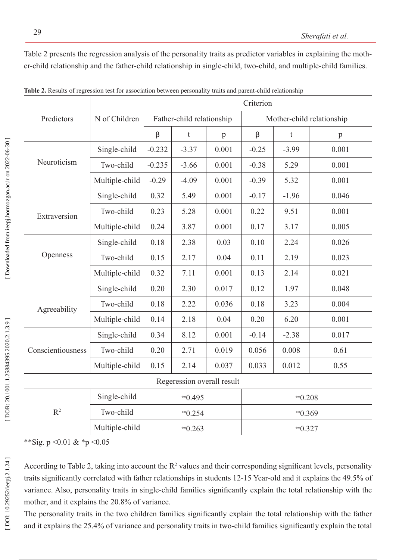Table 2 presents the regression analysis of the personality traits as predictor variables in explaining the moth er-child relationship and the father-child relationship in single-child, two-child, and multiple-child families.

|                            |                | Criterion                 |             |              |                           |               |       |
|----------------------------|----------------|---------------------------|-------------|--------------|---------------------------|---------------|-------|
| Predictors                 | N of Children  | Father-child relationship |             |              | Mother-child relationship |               |       |
|                            |                | β                         | $\mathbf t$ | $\mathbf{p}$ | $\beta$                   | $\mathfrak t$ | p     |
| Neuroticism                | Single-child   | $-0.232$                  | $-3.37$     | 0.001        | $-0.25$                   | $-3.99$       | 0.001 |
|                            | Two-child      | $-0.235$                  | $-3.66$     | 0.001        | $-0.38$                   | 5.29          | 0.001 |
|                            | Multiple-child | $-0.29$                   | $-4.09$     | 0.001        | $-0.39$                   | 5.32          | 0.001 |
| Extraversion               | Single-child   | 0.32                      | 5.49        | 0.001        | $-0.17$                   | $-1.96$       | 0.046 |
|                            | Two-child      | 0.23                      | 5.28        | 0.001        | 0.22                      | 9.51          | 0.001 |
|                            | Multiple-child | 0.24                      | 3.87        | 0.001        | 0.17                      | 3.17          | 0.005 |
| Openness                   | Single-child   | 0.18                      | 2.38        | 0.03         | 0.10                      | 2.24          | 0.026 |
|                            | Two-child      | 0.15                      | 2.17        | 0.04         | 0.11                      | 2.19          | 0.023 |
|                            | Multiple-child | 0.32                      | 7.11        | 0.001        | 0.13                      | 2.14          | 0.021 |
| Agreeability               | Single-child   | 0.20                      | 2.30        | 0.017        | 0.12                      | 1.97          | 0.048 |
|                            | Two-child      | 0.18                      | 2.22        | 0.036        | 0.18                      | 3.23          | 0.004 |
|                            | Multiple-child | 0.14                      | 2.18        | 0.04         | 0.20                      | 6.20          | 0.001 |
| Conscientiousness          | Single-child   | 0.34                      | 8.12        | 0.001        | $-0.14$                   | $-2.38$       | 0.017 |
|                            | Two-child      | 0.20                      | 2.71        | 0.019        | 0.056                     | 0.008         | 0.61  |
|                            | Multiple-child | 0.15                      | 2.14        | 0.037        | 0.033                     | 0.012         | 0.55  |
| Regeression overall result |                |                           |             |              |                           |               |       |
| R <sup>2</sup>             | Single-child   | $*0.495$                  |             |              | $*0.208$                  |               |       |
|                            | Two-child      | $*0.254$                  |             |              | $*0.369$                  |               |       |
|                            | Multiple-child | $*0.263$                  |             | $*0.327$     |                           |               |       |

**Table 2.** Results of regression test for association between personality traits and parent-child relationship

\*\*Sig. p < 0.01 & \*p < 0.05

According to Table 2, taking into account the  $\mathbb{R}^2$  values and their corresponding significant levels, personality traits significantly correlated with father relationships in students 12-15 Year-old and it explains the 49.5% of variance. Also, personality traits in single-child families significantly explain the total relationship with the mother, and it explains the 20.8% of variance.

The personality traits in the two children families significantly explain the total relationship with the father and it explains the 25.4% of variance and personality traits in two-child families significantly explain the total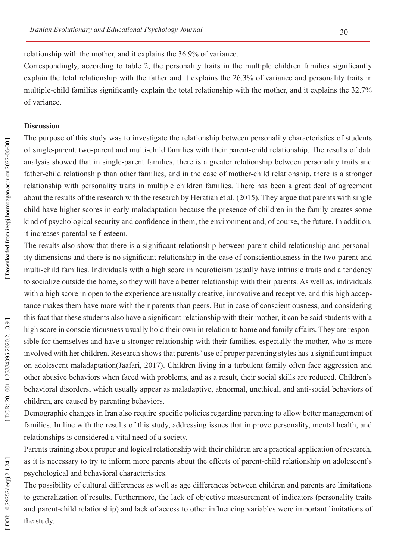Correspondingly, according to table 2, the personality traits in the multiple children families significantly explain the total relationship with the father and it explains the 26.3% of variance and personality traits in multiple-child families significantly explain the total relationship with the mother, and it explains the 32.7% of variance.

## **Discussion**

The purpose of this study was to investigate the relationship between personality characteristics of students of single-parent, two-parent and multi-child families with their parent-child relationship. The results of data analysis showed that in single-parent families, there is a greater relationship between personality traits and father-child relationship than other families, and in the case of mother-child relationship, there is a stronger relationship with personality traits in multiple children families. There has been a great deal of agreement about the results of the research with the research by Heratian et al. (2015). They argue that parents with single child have higher scores in early maladaptation because the presence of children in the family creates some kind of psychological security and confidence in them, the environment and, of course, the future. In addition, it increases parental self-esteem.

The results also show that there is a significant relationship between parent-child relationship and personal ity dimensions and there is no significant relationship in the case of conscientiousness in the two-parent and multi-child families. Individuals with a high score in neuroticism usually have intrinsic traits and a tendency to socialize outside the home, so they will have a better relationship with their parents. As well as, individuals with a high score in open to the experience are usually creative, innovative and receptive, and this high acceptance makes them have more with their parents than peers. But in case of conscientiousness, and considering this fact that these students also have a significant relationship with their mother, it can be said students with a high score in conscientiousness usually hold their own in relation to home and family affairs. They are respon sible for themselves and have a stronger relationship with their families, especially the mother, who is more involved with her children. Research shows that parents' use of proper parenting styles has a significant impact on adolescent maladaptation(Jaafari, 2017). Children living in a turbulent family often face aggression and other abusive behaviors when faced with problems, and as a result, their social skills are reduced. Children's behavioral disorders, which usually appear as maladaptive, abnormal, unethical, and anti-social behaviors of children, are caused by parenting behaviors.

Demographic changes in Iran also require specific policies regarding parenting to allow better management of families. In line with the results of this study, addressing issues that improve personality, mental health, and relationships is considered a vital need of a society.

Parents training about proper and logical relationship with their children are a practical application of research, as it is necessary to try to inform more parents about the effects of parent-child relationship on adolescent's psychological and behavioral characteristics.

The possibility of cultural differences as well as age differences between children and parents are limitations to generalization of results. Furthermore, the lack of objective measurement of indicators (personality traits and parent-child relationship) and lack of access to other influencing variables were important limitations of the study.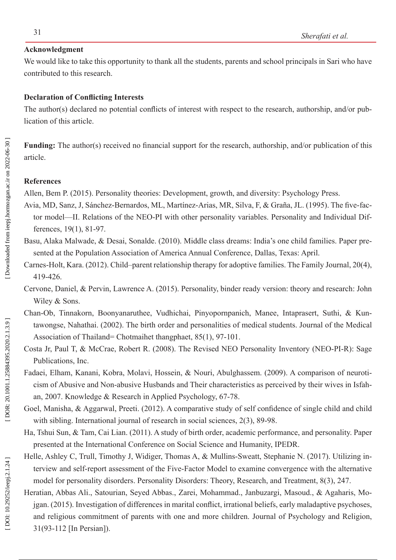## **Acknowledgment**

We would like to take this opportunity to thank all the students, parents and school principals in Sari who have contributed to this research.

## **Declaration of Conflicting Interests**

The author(s) declared no potential conflicts of interest with respect to the research, authorship, and/or pub lication of this article.

**Funding:** The author(s) received no financial support for the research, authorship, and/or publication of this article.

### **References**

Allen, Bem P. (2015). Personality theories: Development, growth, and diversity: Psychology Press.

- Avia, MD, Sanz, J, Sánchez-Bernardos, ML, Martínez-Arias, MR, Silva, F, & Graña, JL. (1995). The five-fac tor model—II. Relations of the NEO-PI with other personality variables. Personality and Individual Differences, 19(1), 81-97.
- Basu, Alaka Malwade, & Desai, Sonalde. (2010). Middle class dreams: India's one child families. Paper pre sented at the Population Association of America Annual Conference, Dallas, Texas: April.
- Carnes-Holt, Kara. (2012). Child–parent relationship therapy for adoptive families. The Family Journal, 20(4), 419-426.
- Cervone, Daniel, & Pervin, Lawrence A. (2015). Personality, binder ready version: theory and research: John Wiley & Sons.
- Chan-Ob, Tinnakorn, Boonyanaruthee, Vudhichai, Pinyopornpanich, Manee, Intaprasert, Suthi, & Kun tawongse, Nahathai. (2002). The birth order and personalities of medical students. Journal of the Medical Association of Thailand= Chotmaihet thangphaet, 85(1), 97-101.
- Costa Jr, Paul T, & McCrae, Robert R. (2008). The Revised NEO Personality Inventory (NEO-PI-R): Sage Publications, Inc.
- Fadaei, Elham, Kanani, Kobra, Molavi, Hossein, & Nouri, Abulghassem. (2009). A comparison of neuroti cism of Abusive and Non-abusive Husbands and Their characteristics as perceived by their wives in Isfah an, 2007. Knowledge & Research in Applied Psychology, 67-78.
- Goel, Manisha, & Aggarwal, Preeti. (2012). A comparative study of self confidence of single child and child with sibling. International journal of research in social sciences, 2(3), 89-98.
- Ha, Tshui Sun, & Tam, Cai Lian. (2011). A study of birth order, academic performance, and personality. Paper presented at the International Conference on Social Science and Humanity, IPEDR.
- Helle, Ashley C, Trull, Timothy J, Widiger, Thomas A, & Mullins-Sweatt, Stephanie N. (2017). Utilizing interview and self-report assessment of the Five-Factor Model to examine convergence with the alternative model for personality disorders. Personality Disorders: Theory, Research, and Treatment, 8(3), 247.
- Heratian, Abbas Ali., Satourian, Seyed Abbas., Zarei, Mohammad., Janbuzargi, Masoud., & Agaharis, Mo jgan. (2015). Investigation of differences in marital conflict, irrational beliefs, early maladaptive psychoses, and religious commitment of parents with one and more children. Journal of Psychology and Religion, 31(93-112 [In Persian]).